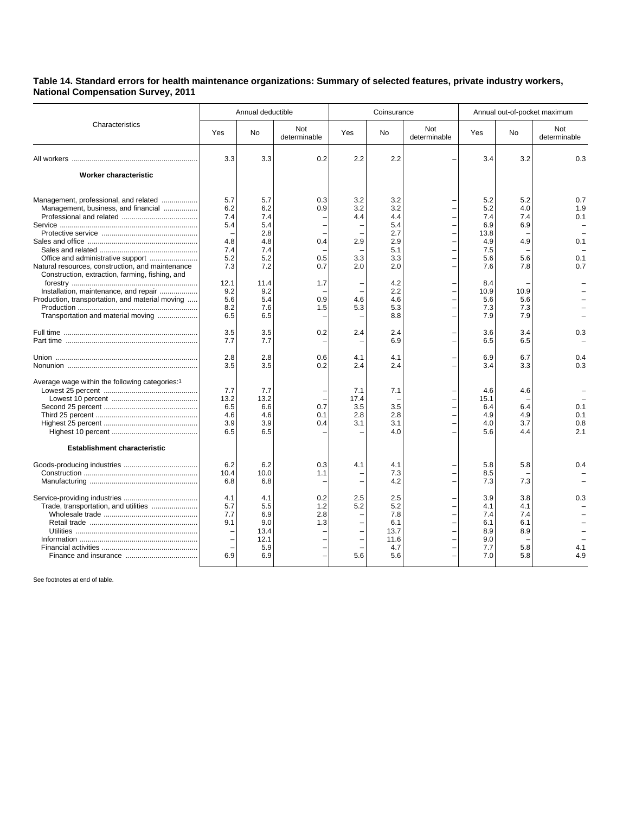## **Table 14. Standard errors for health maintenance organizations: Summary of selected features, private industry workers, National Compensation Survey, 2011**

| Characteristics                                                                                     | Annual deductible  |                     |                     | Coinsurance |                     |                     | Annual out-of-pocket maximum |                   |                     |
|-----------------------------------------------------------------------------------------------------|--------------------|---------------------|---------------------|-------------|---------------------|---------------------|------------------------------|-------------------|---------------------|
|                                                                                                     | Yes                | No                  | Not<br>determinable | Yes         | No                  | Not<br>determinable | Yes                          | No                | Not<br>determinable |
|                                                                                                     | 3.3                | 3.3                 | 0.2                 | 2.2         | 2.2                 |                     | 3.4                          | 3.2               | 0.3                 |
| Worker characteristic                                                                               |                    |                     |                     |             |                     |                     |                              |                   |                     |
| Management, professional, and related                                                               | 5.7                | 5.7                 | 0.3                 | 3.2         | 3.2                 |                     | 5.2                          | 5.2               | 0.7                 |
| Management, business, and financial                                                                 | 6.2<br>7.4         | 6.2<br>7.4          | 0.9                 | 3.2<br>4.4  | 3.2<br>4.4          |                     | 5.2<br>7.4                   | 4.0<br>7.4        | 1.9<br>0.1          |
|                                                                                                     | 5.4                | 5.4<br>2.8          |                     |             | 5.4<br>2.7          |                     | 6.9<br>13.8                  | 6.9               |                     |
|                                                                                                     | 4.8<br>7.4         | 4.8<br>7.4          | 0.4                 | 2.9         | 2.9<br>5.1          |                     | 4.9<br>7.5                   | 4.9               | 0.1                 |
| Natural resources, construction, and maintenance<br>Construction, extraction, farming, fishing, and | 5.2<br>7.3         | 5.2<br>7.2          | 0.5<br>0.7          | 3.3<br>2.0  | 3.3<br>2.0          |                     | 5.6<br>7.6                   | 5.6<br>7.8        | 0.1<br>0.7          |
| Installation, maintenance, and repair                                                               | 12.1<br>9.2        | 11.4<br>9.2         | 1.7                 |             | 4.2<br>2.2          |                     | 8.4<br>10.9                  | 10.9              |                     |
| Production, transportation, and material moving                                                     | 5.6<br>8.2         | 5.4<br>7.6          | 0.9<br>1.5          | 4.6<br>5.3  | 4.6<br>5.3          |                     | 5.6<br>7.3                   | 5.6<br>7.3        |                     |
| Transportation and material moving                                                                  | 6.5                | 6.5                 |                     |             | 8.8                 |                     | 7.9                          | 7.9               |                     |
|                                                                                                     | 3.5<br>7.7         | 3.5<br>7.7          | 0.2                 | 2.4         | 2.4<br>6.9          |                     | 3.6<br>6.5                   | 3.4<br>6.5        | 0.3                 |
|                                                                                                     | 2.8<br>3.5         | 2.8<br>3.5          | 0.6<br>0.2          | 4.1<br>2.4  | 4.1<br>2.4          |                     | 6.9<br>3.4                   | 6.7<br>3.3        | 0.4<br>0.3          |
| Average wage within the following categories: <sup>1</sup>                                          | 7.7                | 7.7                 |                     | 7.1         | 7.1                 |                     | 4.6                          | 4.6               |                     |
|                                                                                                     | 13.2<br>6.5        | 13.2<br>6.6         | 0.7                 | 17.4<br>3.5 | 3.5                 |                     | 15.1<br>6.4                  | 6.4               | 0.1                 |
|                                                                                                     | 4.6<br>3.9         | 4.6<br>3.9          | 0.1<br>0.4          | 2.8<br>3.1  | 2.8<br>3.1          |                     | 4.9<br>4.0                   | 4.9<br>3.7        | 0.1<br>0.8          |
|                                                                                                     | 6.5                | 6.5                 |                     |             | 4.0                 |                     | 5.6                          | 4.4               | 2.1                 |
| <b>Establishment characteristic</b>                                                                 |                    |                     |                     |             |                     |                     |                              |                   |                     |
|                                                                                                     | 6.2<br>10.4<br>6.8 | 6.2<br>10.0<br>6.8  | 0.3<br>1.1          | 4.1         | 4.1<br>7.3<br>4.2   |                     | 5.8<br>8.5<br>7.3            | 5.8<br>7.3        | 0.4                 |
| Trade, transportation, and utilities                                                                | 4.1<br>5.7<br>7.7  | 4.1<br>5.5<br>6.9   | 0.2<br>1.2<br>2.8   | 2.5<br>5.2  | 2.5<br>5.2<br>7.8   |                     | 3.9<br>4.1<br>7.4            | 3.8<br>4.1<br>7.4 | 0.3                 |
|                                                                                                     | 9.1                | 9.0<br>13.4<br>12.1 | 1.3                 |             | 6.1<br>13.7<br>11.6 |                     | 6.1<br>8.9<br>9.0            | 6.1<br>8.9        |                     |
|                                                                                                     | ÷,<br>6.9          | 5.9<br>6.9          |                     | 5.6         | 4.7<br>5.6          |                     | 7.7<br>7.0                   | 5.8<br>5.8        | 4.1<br>4.9          |

See footnotes at end of table.